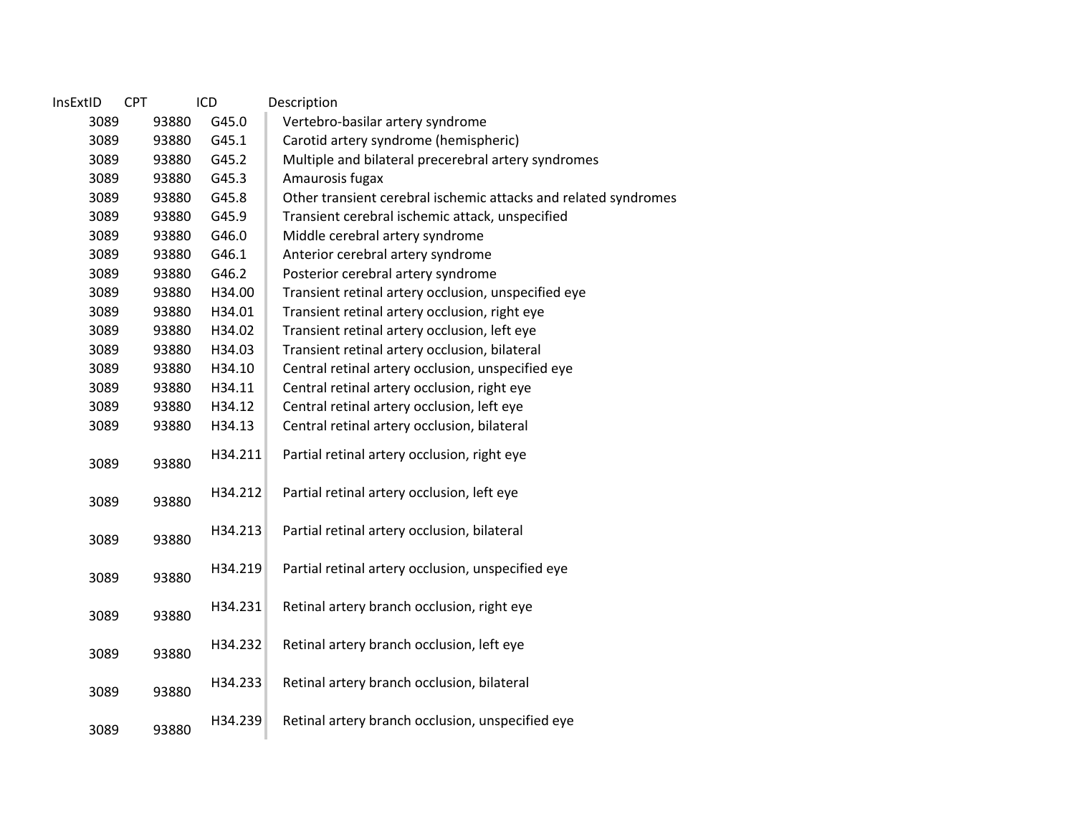| InsExtID | <b>CPT</b> | ICD     | Description                                                     |
|----------|------------|---------|-----------------------------------------------------------------|
| 3089     | 93880      | G45.0   | Vertebro-basilar artery syndrome                                |
| 3089     | 93880      | G45.1   | Carotid artery syndrome (hemispheric)                           |
| 3089     | 93880      | G45.2   | Multiple and bilateral precerebral artery syndromes             |
| 3089     | 93880      | G45.3   | Amaurosis fugax                                                 |
| 3089     | 93880      | G45.8   | Other transient cerebral ischemic attacks and related syndromes |
| 3089     | 93880      | G45.9   | Transient cerebral ischemic attack, unspecified                 |
| 3089     | 93880      | G46.0   | Middle cerebral artery syndrome                                 |
| 3089     | 93880      | G46.1   | Anterior cerebral artery syndrome                               |
| 3089     | 93880      | G46.2   | Posterior cerebral artery syndrome                              |
| 3089     | 93880      | H34.00  | Transient retinal artery occlusion, unspecified eye             |
| 3089     | 93880      | H34.01  | Transient retinal artery occlusion, right eye                   |
| 3089     | 93880      | H34.02  | Transient retinal artery occlusion, left eye                    |
| 3089     | 93880      | H34.03  | Transient retinal artery occlusion, bilateral                   |
| 3089     | 93880      | H34.10  | Central retinal artery occlusion, unspecified eye               |
| 3089     | 93880      | H34.11  | Central retinal artery occlusion, right eye                     |
| 3089     | 93880      | H34.12  | Central retinal artery occlusion, left eye                      |
| 3089     | 93880      | H34.13  | Central retinal artery occlusion, bilateral                     |
| 3089     | 93880      | H34.211 | Partial retinal artery occlusion, right eye                     |
| 3089     | 93880      | H34.212 | Partial retinal artery occlusion, left eye                      |
| 3089     | 93880      | H34.213 | Partial retinal artery occlusion, bilateral                     |
| 3089     | 93880      | H34.219 | Partial retinal artery occlusion, unspecified eye               |
| 3089     | 93880      | H34.231 | Retinal artery branch occlusion, right eye                      |
| 3089     | 93880      | H34.232 | Retinal artery branch occlusion, left eye                       |
| 3089     | 93880      | H34.233 | Retinal artery branch occlusion, bilateral                      |
| 3089     | 93880      | H34.239 | Retinal artery branch occlusion, unspecified eye                |
|          |            |         |                                                                 |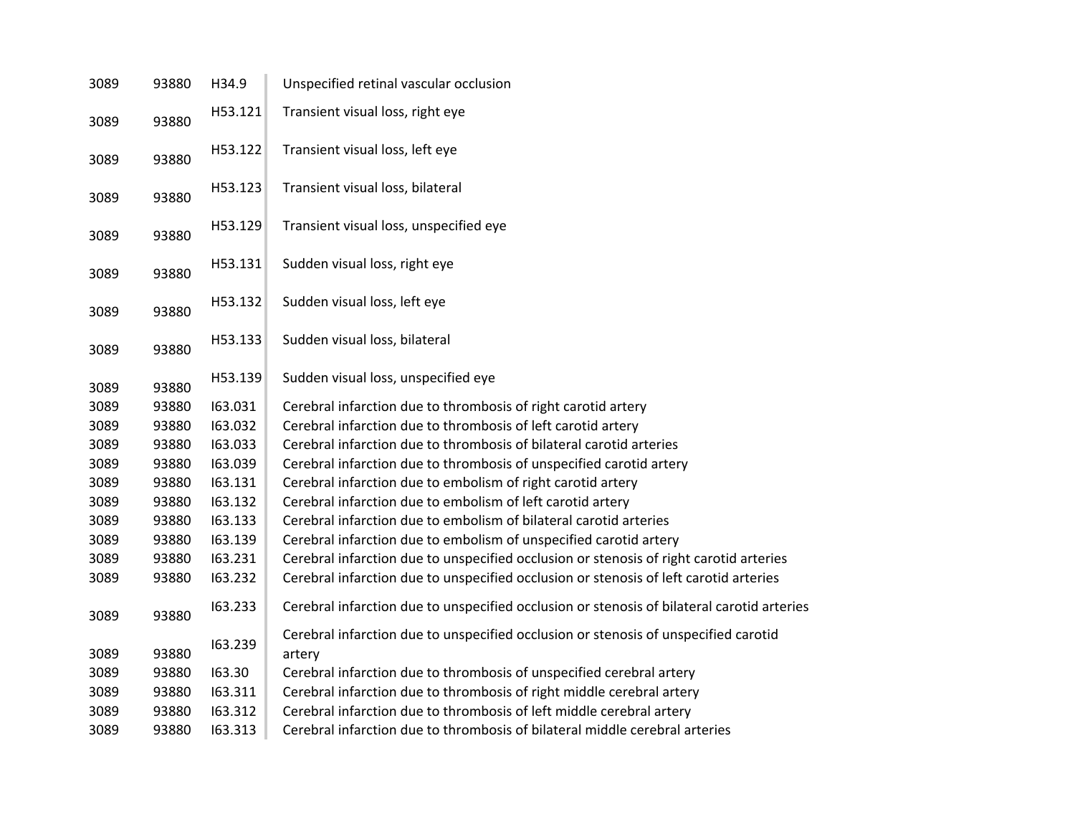| 3089 | 93880 | H34.9   | Unspecified retinal vascular occlusion                                                        |
|------|-------|---------|-----------------------------------------------------------------------------------------------|
| 3089 | 93880 | H53.121 | Transient visual loss, right eye                                                              |
| 3089 | 93880 | H53.122 | Transient visual loss, left eye                                                               |
| 3089 | 93880 | H53.123 | Transient visual loss, bilateral                                                              |
| 3089 | 93880 | H53.129 | Transient visual loss, unspecified eye                                                        |
| 3089 | 93880 | H53.131 | Sudden visual loss, right eye                                                                 |
| 3089 | 93880 | H53.132 | Sudden visual loss, left eye                                                                  |
| 3089 | 93880 | H53.133 | Sudden visual loss, bilateral                                                                 |
| 3089 | 93880 | H53.139 | Sudden visual loss, unspecified eye                                                           |
| 3089 | 93880 | 163.031 | Cerebral infarction due to thrombosis of right carotid artery                                 |
| 3089 | 93880 | 163.032 | Cerebral infarction due to thrombosis of left carotid artery                                  |
| 3089 | 93880 | 163.033 | Cerebral infarction due to thrombosis of bilateral carotid arteries                           |
| 3089 | 93880 | 163.039 | Cerebral infarction due to thrombosis of unspecified carotid artery                           |
| 3089 | 93880 | 163.131 | Cerebral infarction due to embolism of right carotid artery                                   |
| 3089 | 93880 | 163.132 | Cerebral infarction due to embolism of left carotid artery                                    |
| 3089 | 93880 | 163.133 | Cerebral infarction due to embolism of bilateral carotid arteries                             |
| 3089 | 93880 | 163.139 | Cerebral infarction due to embolism of unspecified carotid artery                             |
| 3089 | 93880 | 163.231 | Cerebral infarction due to unspecified occlusion or stenosis of right carotid arteries        |
| 3089 | 93880 | 163.232 | Cerebral infarction due to unspecified occlusion or stenosis of left carotid arteries         |
| 3089 | 93880 | 163.233 | Cerebral infarction due to unspecified occlusion or stenosis of bilateral carotid arteries    |
| 3089 | 93880 | 163.239 | Cerebral infarction due to unspecified occlusion or stenosis of unspecified carotid<br>artery |
| 3089 | 93880 | 163.30  | Cerebral infarction due to thrombosis of unspecified cerebral artery                          |
| 3089 | 93880 | 163.311 | Cerebral infarction due to thrombosis of right middle cerebral artery                         |
| 3089 | 93880 | 163.312 | Cerebral infarction due to thrombosis of left middle cerebral artery                          |
| 3089 | 93880 | 163.313 | Cerebral infarction due to thrombosis of bilateral middle cerebral arteries                   |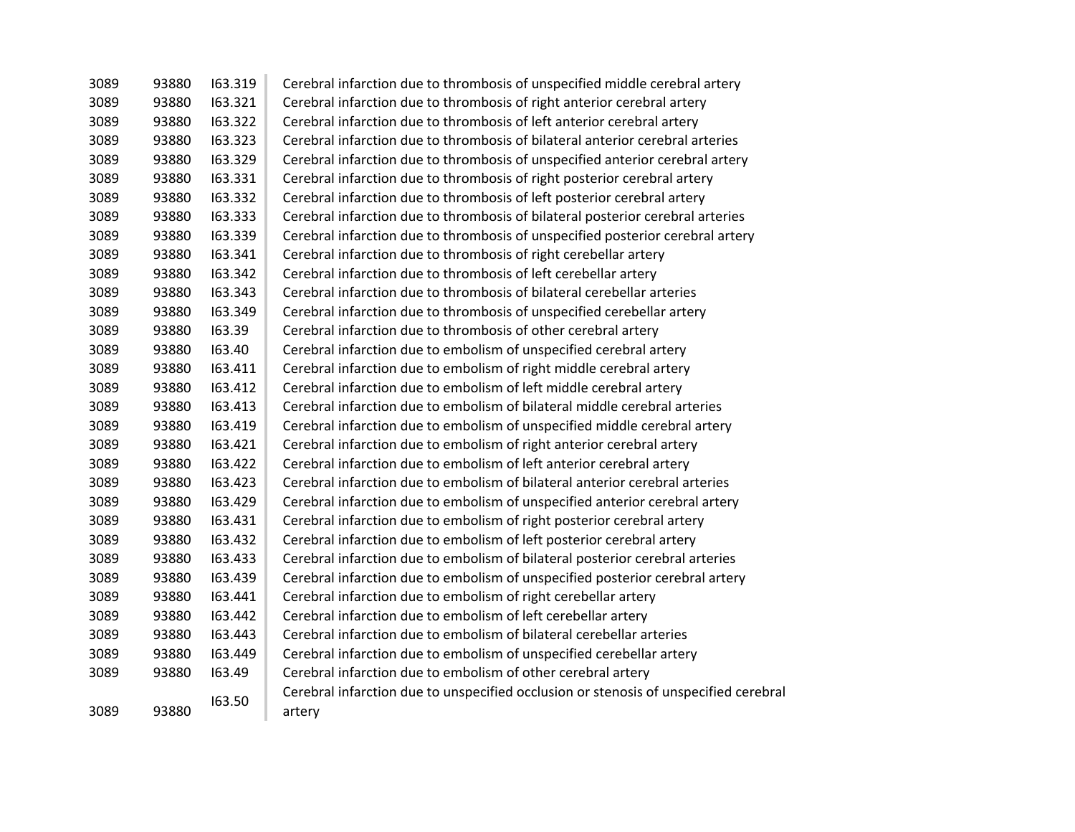| 3089 | 93880 | 163.319 | Cerebral infarction due to thrombosis of unspecified middle cerebral artery                    |
|------|-------|---------|------------------------------------------------------------------------------------------------|
| 3089 | 93880 | 163.321 | Cerebral infarction due to thrombosis of right anterior cerebral artery                        |
| 3089 | 93880 | 163.322 | Cerebral infarction due to thrombosis of left anterior cerebral artery                         |
| 3089 | 93880 | 163.323 | Cerebral infarction due to thrombosis of bilateral anterior cerebral arteries                  |
| 3089 | 93880 | 163.329 | Cerebral infarction due to thrombosis of unspecified anterior cerebral artery                  |
| 3089 | 93880 | 163.331 | Cerebral infarction due to thrombosis of right posterior cerebral artery                       |
| 3089 | 93880 | 163.332 | Cerebral infarction due to thrombosis of left posterior cerebral artery                        |
| 3089 | 93880 | 163.333 | Cerebral infarction due to thrombosis of bilateral posterior cerebral arteries                 |
| 3089 | 93880 | 163.339 | Cerebral infarction due to thrombosis of unspecified posterior cerebral artery                 |
| 3089 | 93880 | 163.341 | Cerebral infarction due to thrombosis of right cerebellar artery                               |
| 3089 | 93880 | 163.342 | Cerebral infarction due to thrombosis of left cerebellar artery                                |
| 3089 | 93880 | 163.343 | Cerebral infarction due to thrombosis of bilateral cerebellar arteries                         |
| 3089 | 93880 | 163.349 | Cerebral infarction due to thrombosis of unspecified cerebellar artery                         |
| 3089 | 93880 | 163.39  | Cerebral infarction due to thrombosis of other cerebral artery                                 |
| 3089 | 93880 | 163.40  | Cerebral infarction due to embolism of unspecified cerebral artery                             |
| 3089 | 93880 | 163.411 | Cerebral infarction due to embolism of right middle cerebral artery                            |
| 3089 | 93880 | 163.412 | Cerebral infarction due to embolism of left middle cerebral artery                             |
| 3089 | 93880 | 163.413 | Cerebral infarction due to embolism of bilateral middle cerebral arteries                      |
| 3089 | 93880 | 163.419 | Cerebral infarction due to embolism of unspecified middle cerebral artery                      |
| 3089 | 93880 | 163.421 | Cerebral infarction due to embolism of right anterior cerebral artery                          |
| 3089 | 93880 | 163.422 | Cerebral infarction due to embolism of left anterior cerebral artery                           |
| 3089 | 93880 | 163.423 | Cerebral infarction due to embolism of bilateral anterior cerebral arteries                    |
| 3089 | 93880 | 163.429 | Cerebral infarction due to embolism of unspecified anterior cerebral artery                    |
| 3089 | 93880 | 163.431 | Cerebral infarction due to embolism of right posterior cerebral artery                         |
| 3089 | 93880 | 163.432 | Cerebral infarction due to embolism of left posterior cerebral artery                          |
| 3089 | 93880 | 163.433 | Cerebral infarction due to embolism of bilateral posterior cerebral arteries                   |
| 3089 | 93880 | 163.439 | Cerebral infarction due to embolism of unspecified posterior cerebral artery                   |
| 3089 | 93880 | 163.441 | Cerebral infarction due to embolism of right cerebellar artery                                 |
| 3089 | 93880 | 163.442 | Cerebral infarction due to embolism of left cerebellar artery                                  |
| 3089 | 93880 | 163.443 | Cerebral infarction due to embolism of bilateral cerebellar arteries                           |
| 3089 | 93880 | 163.449 | Cerebral infarction due to embolism of unspecified cerebellar artery                           |
| 3089 | 93880 | 163.49  | Cerebral infarction due to embolism of other cerebral artery                                   |
| 3089 | 93880 | 163.50  | Cerebral infarction due to unspecified occlusion or stenosis of unspecified cerebral<br>artery |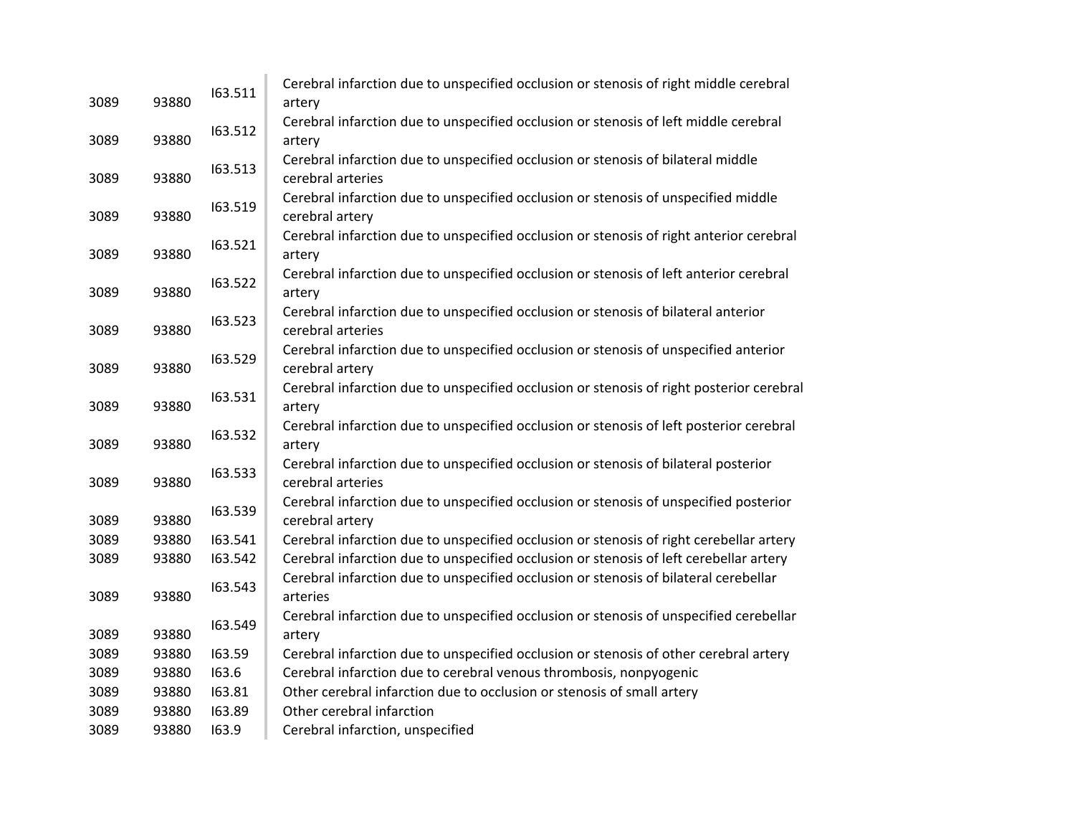| 3089 | 93880 | 163.511 | Cerebral infarction due to unspecified occlusion or stenosis of right middle cerebral<br>artery          |
|------|-------|---------|----------------------------------------------------------------------------------------------------------|
| 3089 | 93880 | 163.512 | Cerebral infarction due to unspecified occlusion or stenosis of left middle cerebral<br>artery           |
| 3089 | 93880 | 163.513 | Cerebral infarction due to unspecified occlusion or stenosis of bilateral middle<br>cerebral arteries    |
| 3089 | 93880 | 163.519 | Cerebral infarction due to unspecified occlusion or stenosis of unspecified middle<br>cerebral artery    |
| 3089 | 93880 | 163.521 | Cerebral infarction due to unspecified occlusion or stenosis of right anterior cerebral<br>artery        |
| 3089 | 93880 | 163.522 | Cerebral infarction due to unspecified occlusion or stenosis of left anterior cerebral<br>artery         |
| 3089 | 93880 | 163.523 | Cerebral infarction due to unspecified occlusion or stenosis of bilateral anterior<br>cerebral arteries  |
| 3089 | 93880 | 163.529 | Cerebral infarction due to unspecified occlusion or stenosis of unspecified anterior<br>cerebral artery  |
| 3089 | 93880 | 163.531 | Cerebral infarction due to unspecified occlusion or stenosis of right posterior cerebral<br>artery       |
| 3089 | 93880 | 163.532 | Cerebral infarction due to unspecified occlusion or stenosis of left posterior cerebral<br>artery        |
| 3089 | 93880 | 163.533 | Cerebral infarction due to unspecified occlusion or stenosis of bilateral posterior<br>cerebral arteries |
| 3089 | 93880 | 163.539 | Cerebral infarction due to unspecified occlusion or stenosis of unspecified posterior<br>cerebral artery |
| 3089 | 93880 | 163.541 | Cerebral infarction due to unspecified occlusion or stenosis of right cerebellar artery                  |
| 3089 | 93880 | 163.542 | Cerebral infarction due to unspecified occlusion or stenosis of left cerebellar artery                   |
| 3089 | 93880 | 163.543 | Cerebral infarction due to unspecified occlusion or stenosis of bilateral cerebellar<br>arteries         |
| 3089 | 93880 | 163.549 | Cerebral infarction due to unspecified occlusion or stenosis of unspecified cerebellar<br>artery         |
| 3089 | 93880 | 163.59  | Cerebral infarction due to unspecified occlusion or stenosis of other cerebral artery                    |
| 3089 | 93880 | 163.6   | Cerebral infarction due to cerebral venous thrombosis, nonpyogenic                                       |
| 3089 | 93880 | 163.81  | Other cerebral infarction due to occlusion or stenosis of small artery                                   |
| 3089 | 93880 | 163.89  | Other cerebral infarction                                                                                |
| 3089 | 93880 | 163.9   | Cerebral infarction, unspecified                                                                         |
|      |       |         |                                                                                                          |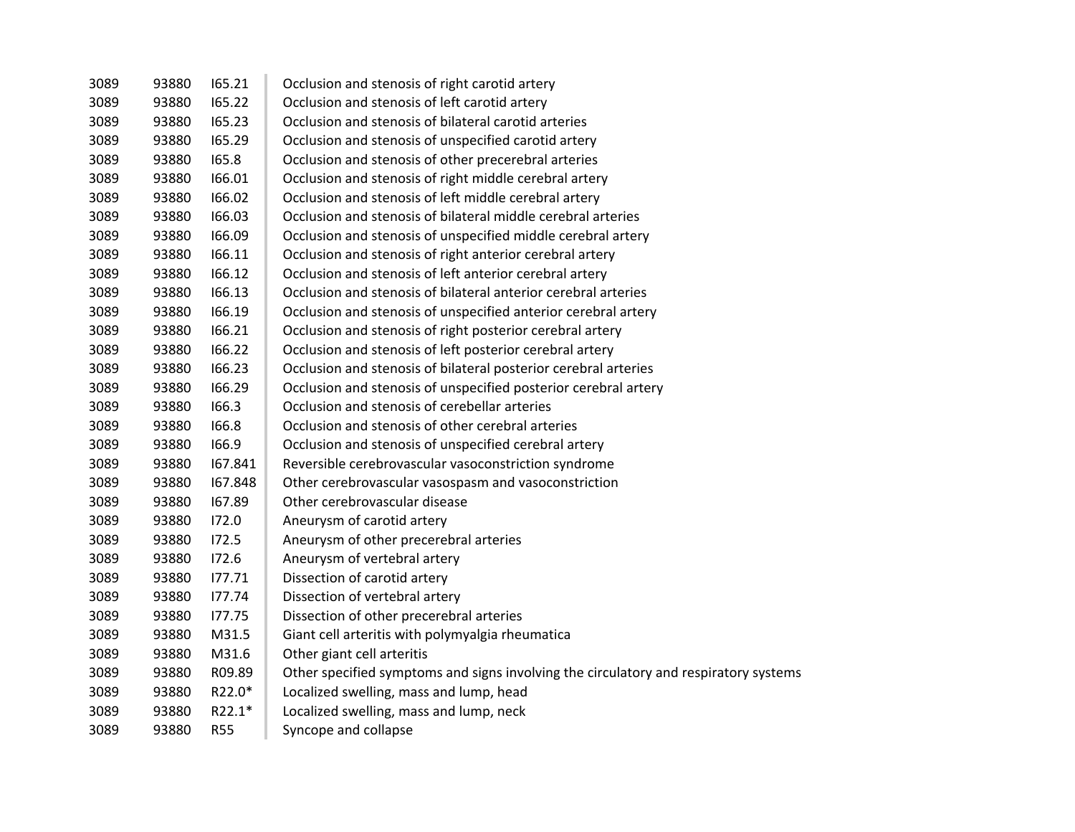| 3089 | 93880 | 165.21     | Occlusion and stenosis of right carotid artery                                       |
|------|-------|------------|--------------------------------------------------------------------------------------|
| 3089 | 93880 | 165.22     | Occlusion and stenosis of left carotid artery                                        |
| 3089 | 93880 | 165.23     | Occlusion and stenosis of bilateral carotid arteries                                 |
| 3089 | 93880 | 165.29     | Occlusion and stenosis of unspecified carotid artery                                 |
| 3089 | 93880 | 165.8      | Occlusion and stenosis of other precerebral arteries                                 |
| 3089 | 93880 | 166.01     | Occlusion and stenosis of right middle cerebral artery                               |
| 3089 | 93880 | 166.02     | Occlusion and stenosis of left middle cerebral artery                                |
| 3089 | 93880 | 166.03     | Occlusion and stenosis of bilateral middle cerebral arteries                         |
| 3089 | 93880 | 166.09     | Occlusion and stenosis of unspecified middle cerebral artery                         |
| 3089 | 93880 | 166.11     | Occlusion and stenosis of right anterior cerebral artery                             |
| 3089 | 93880 | 166.12     | Occlusion and stenosis of left anterior cerebral artery                              |
| 3089 | 93880 | 166.13     | Occlusion and stenosis of bilateral anterior cerebral arteries                       |
| 3089 | 93880 | 166.19     | Occlusion and stenosis of unspecified anterior cerebral artery                       |
| 3089 | 93880 | 166.21     | Occlusion and stenosis of right posterior cerebral artery                            |
| 3089 | 93880 | 166.22     | Occlusion and stenosis of left posterior cerebral artery                             |
| 3089 | 93880 | 166.23     | Occlusion and stenosis of bilateral posterior cerebral arteries                      |
| 3089 | 93880 | 166.29     | Occlusion and stenosis of unspecified posterior cerebral artery                      |
| 3089 | 93880 | 166.3      | Occlusion and stenosis of cerebellar arteries                                        |
| 3089 | 93880 | 166.8      | Occlusion and stenosis of other cerebral arteries                                    |
| 3089 | 93880 | 166.9      | Occlusion and stenosis of unspecified cerebral artery                                |
| 3089 | 93880 | 167.841    | Reversible cerebrovascular vasoconstriction syndrome                                 |
| 3089 | 93880 | 167.848    | Other cerebrovascular vasospasm and vasoconstriction                                 |
| 3089 | 93880 | 167.89     | Other cerebrovascular disease                                                        |
| 3089 | 93880 | 172.0      | Aneurysm of carotid artery                                                           |
| 3089 | 93880 | 172.5      | Aneurysm of other precerebral arteries                                               |
| 3089 | 93880 | 172.6      | Aneurysm of vertebral artery                                                         |
| 3089 | 93880 | 177.71     | Dissection of carotid artery                                                         |
| 3089 | 93880 | 177.74     | Dissection of vertebral artery                                                       |
| 3089 | 93880 | 177.75     | Dissection of other precerebral arteries                                             |
| 3089 | 93880 | M31.5      | Giant cell arteritis with polymyalgia rheumatica                                     |
| 3089 | 93880 | M31.6      | Other giant cell arteritis                                                           |
| 3089 | 93880 | R09.89     | Other specified symptoms and signs involving the circulatory and respiratory systems |
| 3089 | 93880 | R22.0*     | Localized swelling, mass and lump, head                                              |
| 3089 | 93880 | R22.1*     | Localized swelling, mass and lump, neck                                              |
| 3089 | 93880 | <b>R55</b> | Syncope and collapse                                                                 |
|      |       |            |                                                                                      |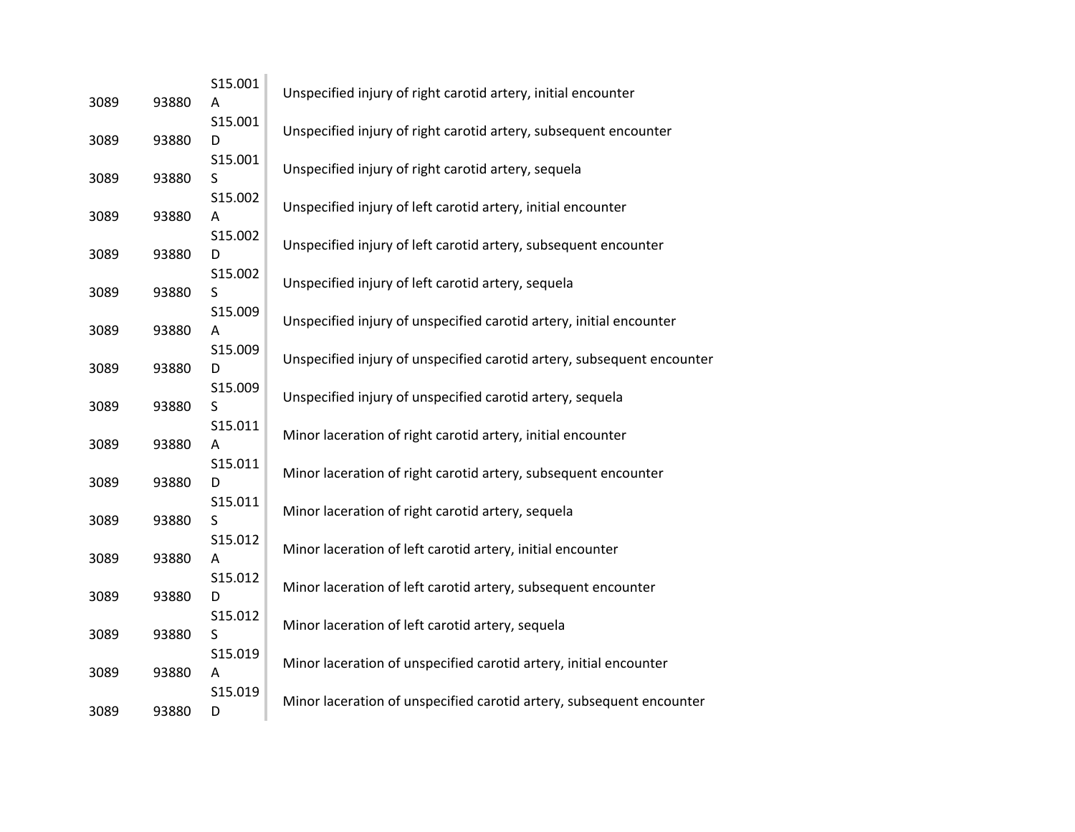| 3089 | 93880 | S15.001<br>Α       | Unspecified injury of right carotid artery, initial encounter          |
|------|-------|--------------------|------------------------------------------------------------------------|
| 3089 | 93880 | S15.001<br>D       | Unspecified injury of right carotid artery, subsequent encounter       |
| 3089 | 93880 | S15.001<br>$\sf S$ | Unspecified injury of right carotid artery, sequela                    |
| 3089 | 93880 | S15.002<br>A       | Unspecified injury of left carotid artery, initial encounter           |
| 3089 | 93880 | S15.002<br>D       | Unspecified injury of left carotid artery, subsequent encounter        |
| 3089 | 93880 | S15.002<br>S       | Unspecified injury of left carotid artery, sequela                     |
| 3089 | 93880 | S15.009<br>Α       | Unspecified injury of unspecified carotid artery, initial encounter    |
| 3089 | 93880 | S15.009<br>D       | Unspecified injury of unspecified carotid artery, subsequent encounter |
| 3089 | 93880 | S15.009<br>S       | Unspecified injury of unspecified carotid artery, sequela              |
|      |       | S15.011            | Minor laceration of right carotid artery, initial encounter            |
| 3089 | 93880 | Α<br>S15.011       | Minor laceration of right carotid artery, subsequent encounter         |
| 3089 | 93880 | D<br>S15.011       | Minor laceration of right carotid artery, sequela                      |
| 3089 | 93880 | S<br>S15.012       | Minor laceration of left carotid artery, initial encounter             |
| 3089 | 93880 | Α<br>S15.012       | Minor laceration of left carotid artery, subsequent encounter          |
| 3089 | 93880 | D<br>S15.012       | Minor laceration of left carotid artery, sequela                       |
| 3089 | 93880 | S<br>S15.019       | Minor laceration of unspecified carotid artery, initial encounter      |
| 3089 | 93880 | A<br>S15.019       | Minor laceration of unspecified carotid artery, subsequent encounter   |
| 3089 | 93880 | D                  |                                                                        |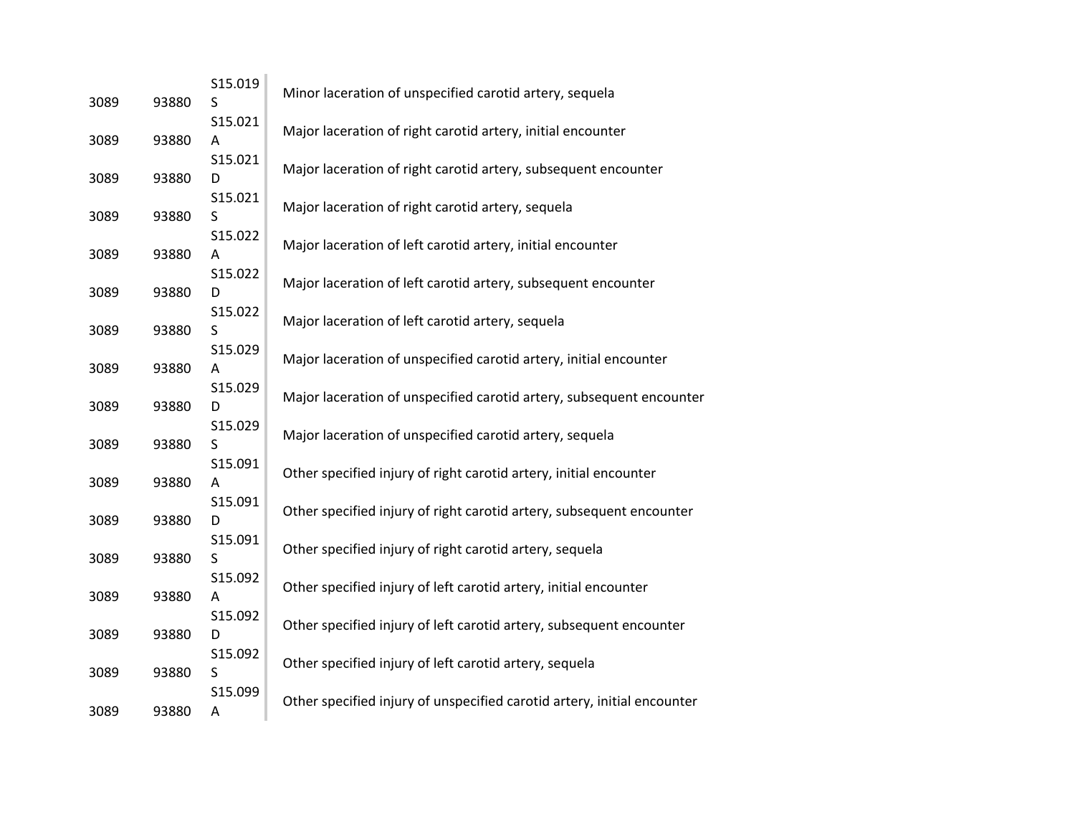| 3089 | 93880 | S15.019<br>S       | Minor laceration of unspecified carotid artery, sequela                 |
|------|-------|--------------------|-------------------------------------------------------------------------|
| 3089 | 93880 | S15.021<br>Α       | Major laceration of right carotid artery, initial encounter             |
| 3089 | 93880 | S15.021<br>D       | Major laceration of right carotid artery, subsequent encounter          |
| 3089 | 93880 | S15.021<br>S       | Major laceration of right carotid artery, sequela                       |
| 3089 | 93880 | S15.022<br>Α       | Major laceration of left carotid artery, initial encounter              |
| 3089 | 93880 | S15.022<br>D       | Major laceration of left carotid artery, subsequent encounter           |
| 3089 | 93880 | S15.022<br>S       | Major laceration of left carotid artery, sequela                        |
| 3089 | 93880 | S15.029<br>Α       | Major laceration of unspecified carotid artery, initial encounter       |
| 3089 | 93880 | S15.029<br>D       | Major laceration of unspecified carotid artery, subsequent encounter    |
| 3089 | 93880 | S15.029<br>$\sf S$ | Major laceration of unspecified carotid artery, sequela                 |
| 3089 | 93880 | S15.091<br>A       | Other specified injury of right carotid artery, initial encounter       |
| 3089 | 93880 | S15.091<br>D       | Other specified injury of right carotid artery, subsequent encounter    |
| 3089 | 93880 | S15.091<br>S       | Other specified injury of right carotid artery, sequela                 |
| 3089 | 93880 | S15.092<br>Α       | Other specified injury of left carotid artery, initial encounter        |
| 3089 | 93880 | S15.092<br>D       | Other specified injury of left carotid artery, subsequent encounter     |
| 3089 | 93880 | S15.092<br>S       | Other specified injury of left carotid artery, sequela                  |
| 3089 | 93880 | S15.099<br>Α       | Other specified injury of unspecified carotid artery, initial encounter |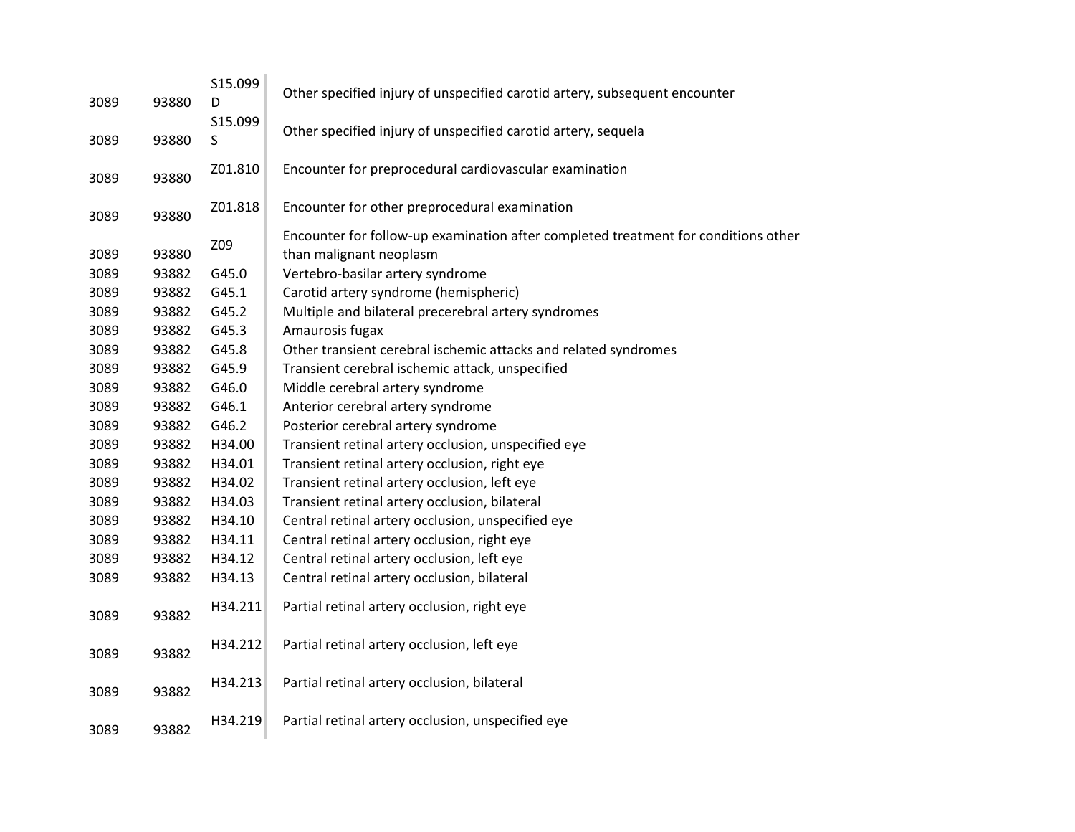|      |       | S15.099 |                                                                                    |
|------|-------|---------|------------------------------------------------------------------------------------|
| 3089 | 93880 | D       | Other specified injury of unspecified carotid artery, subsequent encounter         |
|      |       | S15.099 |                                                                                    |
| 3089 | 93880 | S       | Other specified injury of unspecified carotid artery, sequela                      |
|      |       |         |                                                                                    |
| 3089 | 93880 | Z01.810 | Encounter for preprocedural cardiovascular examination                             |
|      |       |         |                                                                                    |
| 3089 | 93880 | Z01.818 | Encounter for other preprocedural examination                                      |
|      |       | Z09     | Encounter for follow-up examination after completed treatment for conditions other |
| 3089 | 93880 |         | than malignant neoplasm                                                            |
| 3089 | 93882 | G45.0   | Vertebro-basilar artery syndrome                                                   |
| 3089 | 93882 | G45.1   | Carotid artery syndrome (hemispheric)                                              |
| 3089 | 93882 | G45.2   | Multiple and bilateral precerebral artery syndromes                                |
| 3089 | 93882 | G45.3   | Amaurosis fugax                                                                    |
| 3089 | 93882 | G45.8   | Other transient cerebral ischemic attacks and related syndromes                    |
| 3089 | 93882 | G45.9   | Transient cerebral ischemic attack, unspecified                                    |
| 3089 | 93882 | G46.0   | Middle cerebral artery syndrome                                                    |
| 3089 | 93882 | G46.1   | Anterior cerebral artery syndrome                                                  |
| 3089 | 93882 | G46.2   | Posterior cerebral artery syndrome                                                 |
| 3089 | 93882 | H34.00  | Transient retinal artery occlusion, unspecified eye                                |
| 3089 | 93882 | H34.01  | Transient retinal artery occlusion, right eye                                      |
| 3089 | 93882 | H34.02  | Transient retinal artery occlusion, left eye                                       |
| 3089 | 93882 | H34.03  | Transient retinal artery occlusion, bilateral                                      |
| 3089 | 93882 | H34.10  | Central retinal artery occlusion, unspecified eye                                  |
| 3089 | 93882 | H34.11  | Central retinal artery occlusion, right eye                                        |
| 3089 | 93882 | H34.12  | Central retinal artery occlusion, left eye                                         |
| 3089 | 93882 | H34.13  | Central retinal artery occlusion, bilateral                                        |
|      |       | H34.211 | Partial retinal artery occlusion, right eye                                        |
| 3089 | 93882 |         |                                                                                    |
|      |       | H34.212 | Partial retinal artery occlusion, left eye                                         |
| 3089 | 93882 |         |                                                                                    |
|      |       | H34.213 | Partial retinal artery occlusion, bilateral                                        |
| 3089 | 93882 |         |                                                                                    |
|      |       | H34.219 | Partial retinal artery occlusion, unspecified eye                                  |
| 3089 | 93882 |         |                                                                                    |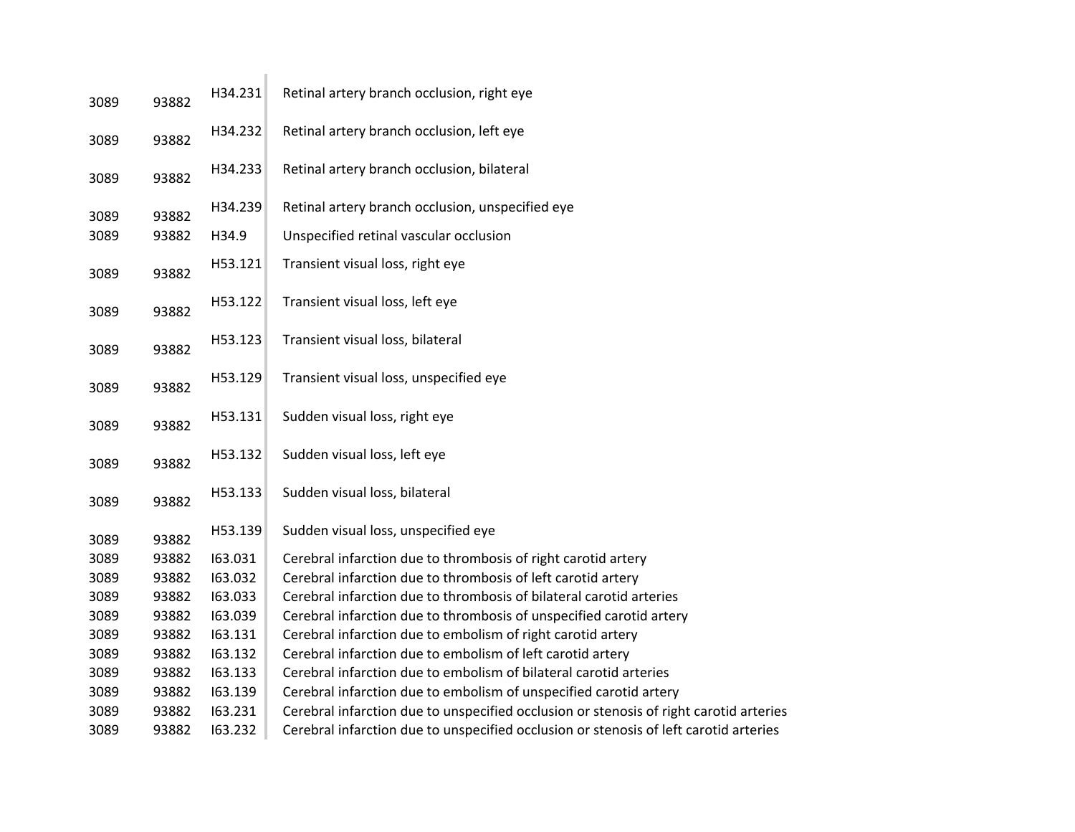| H34.231<br>93882 | Retinal artery branch occlusion, right eye                                             |
|------------------|----------------------------------------------------------------------------------------|
| H34.232<br>93882 | Retinal artery branch occlusion, left eye                                              |
| H34.233<br>93882 | Retinal artery branch occlusion, bilateral                                             |
| H34.239          | Retinal artery branch occlusion, unspecified eye                                       |
| 93882<br>H34.9   | Unspecified retinal vascular occlusion                                                 |
| H53.121<br>93882 | Transient visual loss, right eye                                                       |
| H53.122<br>93882 | Transient visual loss, left eye                                                        |
| H53.123<br>93882 | Transient visual loss, bilateral                                                       |
| H53.129<br>93882 | Transient visual loss, unspecified eye                                                 |
| H53.131<br>93882 | Sudden visual loss, right eye                                                          |
| H53.132<br>93882 | Sudden visual loss, left eye                                                           |
| H53.133<br>93882 | Sudden visual loss, bilateral                                                          |
| H53.139<br>93882 | Sudden visual loss, unspecified eye                                                    |
| 93882            | Cerebral infarction due to thrombosis of right carotid artery                          |
| 93882<br>163.032 | Cerebral infarction due to thrombosis of left carotid artery                           |
| 163.033<br>93882 | Cerebral infarction due to thrombosis of bilateral carotid arteries                    |
| 163.039<br>93882 | Cerebral infarction due to thrombosis of unspecified carotid artery                    |
| 93882<br>163.131 | Cerebral infarction due to embolism of right carotid artery                            |
| 93882<br>163.132 | Cerebral infarction due to embolism of left carotid artery                             |
| 93882<br>163.133 | Cerebral infarction due to embolism of bilateral carotid arteries                      |
| 93882<br>163.139 | Cerebral infarction due to embolism of unspecified carotid artery                      |
| 93882<br>163.231 | Cerebral infarction due to unspecified occlusion or stenosis of right carotid arteries |
| 93882<br>163.232 | Cerebral infarction due to unspecified occlusion or stenosis of left carotid arteries  |
|                  | 93882<br>163.031                                                                       |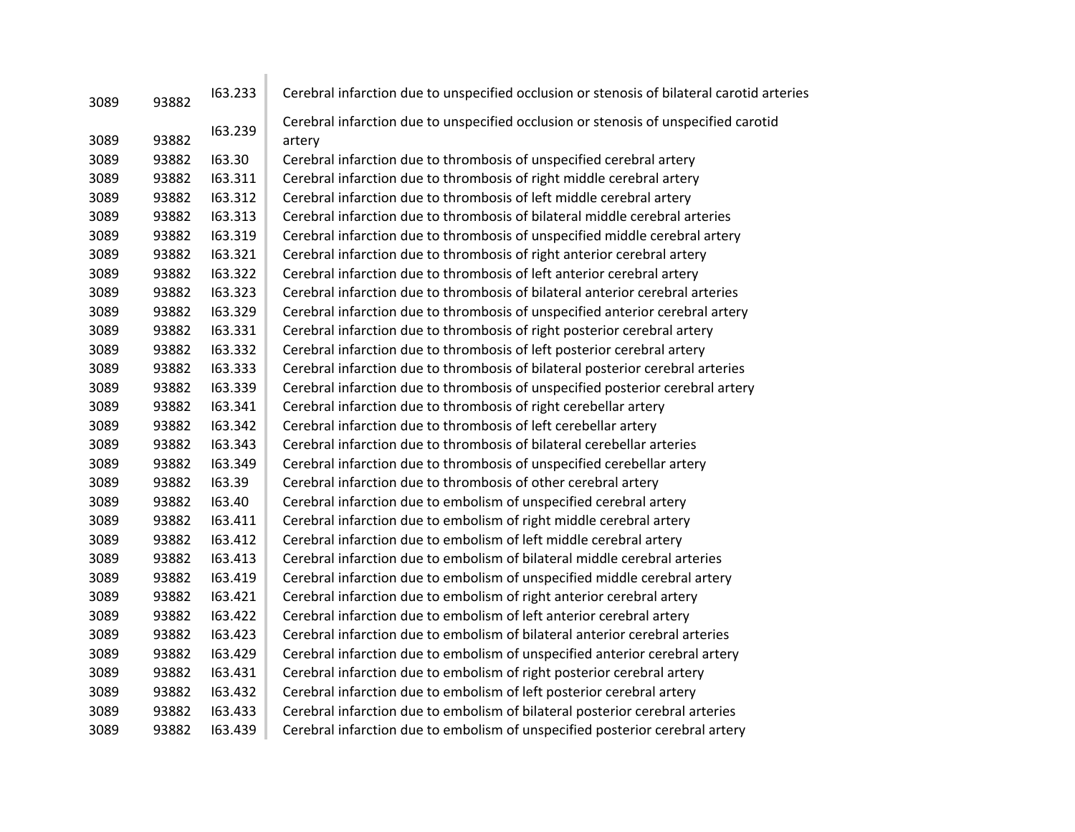| 3089 | 93882 | 163.233 | Cerebral infarction due to unspecified occlusion or stenosis of bilateral carotid arteries    |
|------|-------|---------|-----------------------------------------------------------------------------------------------|
| 3089 | 93882 | 163.239 | Cerebral infarction due to unspecified occlusion or stenosis of unspecified carotid<br>artery |
| 3089 | 93882 | 163.30  | Cerebral infarction due to thrombosis of unspecified cerebral artery                          |
| 3089 | 93882 | 163.311 | Cerebral infarction due to thrombosis of right middle cerebral artery                         |
| 3089 | 93882 | 163.312 | Cerebral infarction due to thrombosis of left middle cerebral artery                          |
| 3089 | 93882 | 163.313 | Cerebral infarction due to thrombosis of bilateral middle cerebral arteries                   |
| 3089 | 93882 | 163.319 | Cerebral infarction due to thrombosis of unspecified middle cerebral artery                   |
| 3089 | 93882 | 163.321 | Cerebral infarction due to thrombosis of right anterior cerebral artery                       |
| 3089 | 93882 | 163.322 | Cerebral infarction due to thrombosis of left anterior cerebral artery                        |
| 3089 | 93882 | 163.323 | Cerebral infarction due to thrombosis of bilateral anterior cerebral arteries                 |
| 3089 | 93882 | 163.329 | Cerebral infarction due to thrombosis of unspecified anterior cerebral artery                 |
| 3089 | 93882 | 163.331 | Cerebral infarction due to thrombosis of right posterior cerebral artery                      |
| 3089 | 93882 | 163.332 | Cerebral infarction due to thrombosis of left posterior cerebral artery                       |
| 3089 | 93882 | 163.333 | Cerebral infarction due to thrombosis of bilateral posterior cerebral arteries                |
| 3089 | 93882 | 163.339 | Cerebral infarction due to thrombosis of unspecified posterior cerebral artery                |
| 3089 | 93882 | 163.341 | Cerebral infarction due to thrombosis of right cerebellar artery                              |
| 3089 | 93882 | 163.342 | Cerebral infarction due to thrombosis of left cerebellar artery                               |
| 3089 | 93882 | 163.343 | Cerebral infarction due to thrombosis of bilateral cerebellar arteries                        |
| 3089 | 93882 | 163.349 | Cerebral infarction due to thrombosis of unspecified cerebellar artery                        |
| 3089 | 93882 | 163.39  | Cerebral infarction due to thrombosis of other cerebral artery                                |
| 3089 | 93882 | 163.40  | Cerebral infarction due to embolism of unspecified cerebral artery                            |
| 3089 | 93882 | 163.411 | Cerebral infarction due to embolism of right middle cerebral artery                           |
| 3089 | 93882 | 163.412 | Cerebral infarction due to embolism of left middle cerebral artery                            |
| 3089 | 93882 | 163.413 | Cerebral infarction due to embolism of bilateral middle cerebral arteries                     |
| 3089 | 93882 | 163.419 | Cerebral infarction due to embolism of unspecified middle cerebral artery                     |
| 3089 | 93882 | 163.421 | Cerebral infarction due to embolism of right anterior cerebral artery                         |
| 3089 | 93882 | 163.422 | Cerebral infarction due to embolism of left anterior cerebral artery                          |
| 3089 | 93882 | 163.423 | Cerebral infarction due to embolism of bilateral anterior cerebral arteries                   |
| 3089 | 93882 | 163.429 | Cerebral infarction due to embolism of unspecified anterior cerebral artery                   |
| 3089 | 93882 | 163.431 | Cerebral infarction due to embolism of right posterior cerebral artery                        |
| 3089 | 93882 | 163.432 | Cerebral infarction due to embolism of left posterior cerebral artery                         |
| 3089 | 93882 | 163.433 | Cerebral infarction due to embolism of bilateral posterior cerebral arteries                  |
| 3089 | 93882 | 163.439 | Cerebral infarction due to embolism of unspecified posterior cerebral artery                  |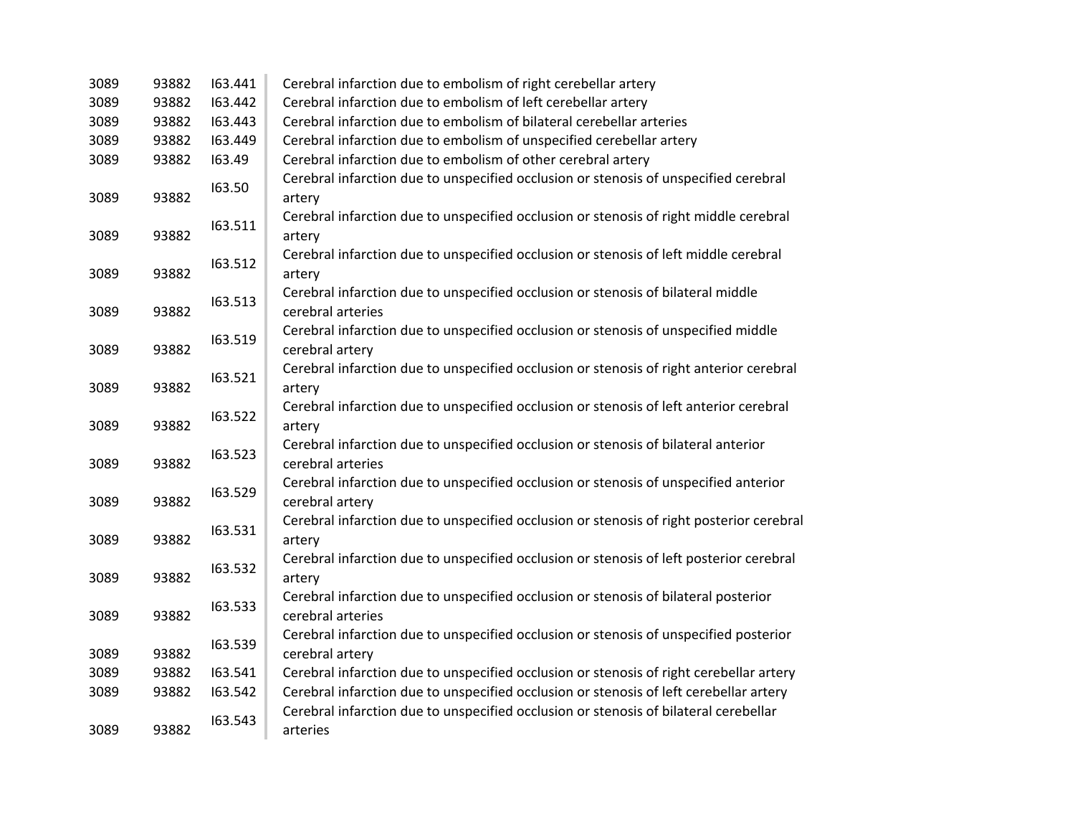| 3089 | 93882 | 163.441 | Cerebral infarction due to embolism of right cerebellar artery                                           |
|------|-------|---------|----------------------------------------------------------------------------------------------------------|
| 3089 | 93882 | 163.442 | Cerebral infarction due to embolism of left cerebellar artery                                            |
| 3089 | 93882 | 163.443 | Cerebral infarction due to embolism of bilateral cerebellar arteries                                     |
| 3089 | 93882 | 163.449 | Cerebral infarction due to embolism of unspecified cerebellar artery                                     |
| 3089 | 93882 | 163.49  | Cerebral infarction due to embolism of other cerebral artery                                             |
| 3089 | 93882 | 163.50  | Cerebral infarction due to unspecified occlusion or stenosis of unspecified cerebral<br>artery           |
| 3089 | 93882 | 163.511 | Cerebral infarction due to unspecified occlusion or stenosis of right middle cerebral<br>artery          |
| 3089 | 93882 | 163.512 | Cerebral infarction due to unspecified occlusion or stenosis of left middle cerebral<br>artery           |
| 3089 | 93882 | 163.513 | Cerebral infarction due to unspecified occlusion or stenosis of bilateral middle<br>cerebral arteries    |
| 3089 | 93882 | 163.519 | Cerebral infarction due to unspecified occlusion or stenosis of unspecified middle<br>cerebral artery    |
| 3089 | 93882 | 163.521 | Cerebral infarction due to unspecified occlusion or stenosis of right anterior cerebral<br>artery        |
| 3089 | 93882 | 163.522 | Cerebral infarction due to unspecified occlusion or stenosis of left anterior cerebral<br>artery         |
| 3089 | 93882 | 163.523 | Cerebral infarction due to unspecified occlusion or stenosis of bilateral anterior<br>cerebral arteries  |
| 3089 | 93882 | 163.529 | Cerebral infarction due to unspecified occlusion or stenosis of unspecified anterior<br>cerebral artery  |
| 3089 | 93882 | 163.531 | Cerebral infarction due to unspecified occlusion or stenosis of right posterior cerebral<br>artery       |
| 3089 | 93882 | 163.532 | Cerebral infarction due to unspecified occlusion or stenosis of left posterior cerebral<br>artery        |
| 3089 | 93882 | 163.533 | Cerebral infarction due to unspecified occlusion or stenosis of bilateral posterior<br>cerebral arteries |
| 3089 | 93882 | 163.539 | Cerebral infarction due to unspecified occlusion or stenosis of unspecified posterior<br>cerebral artery |
| 3089 | 93882 | 163.541 | Cerebral infarction due to unspecified occlusion or stenosis of right cerebellar artery                  |
| 3089 | 93882 | 163.542 | Cerebral infarction due to unspecified occlusion or stenosis of left cerebellar artery                   |
| 3089 | 93882 | 163.543 | Cerebral infarction due to unspecified occlusion or stenosis of bilateral cerebellar<br>arteries         |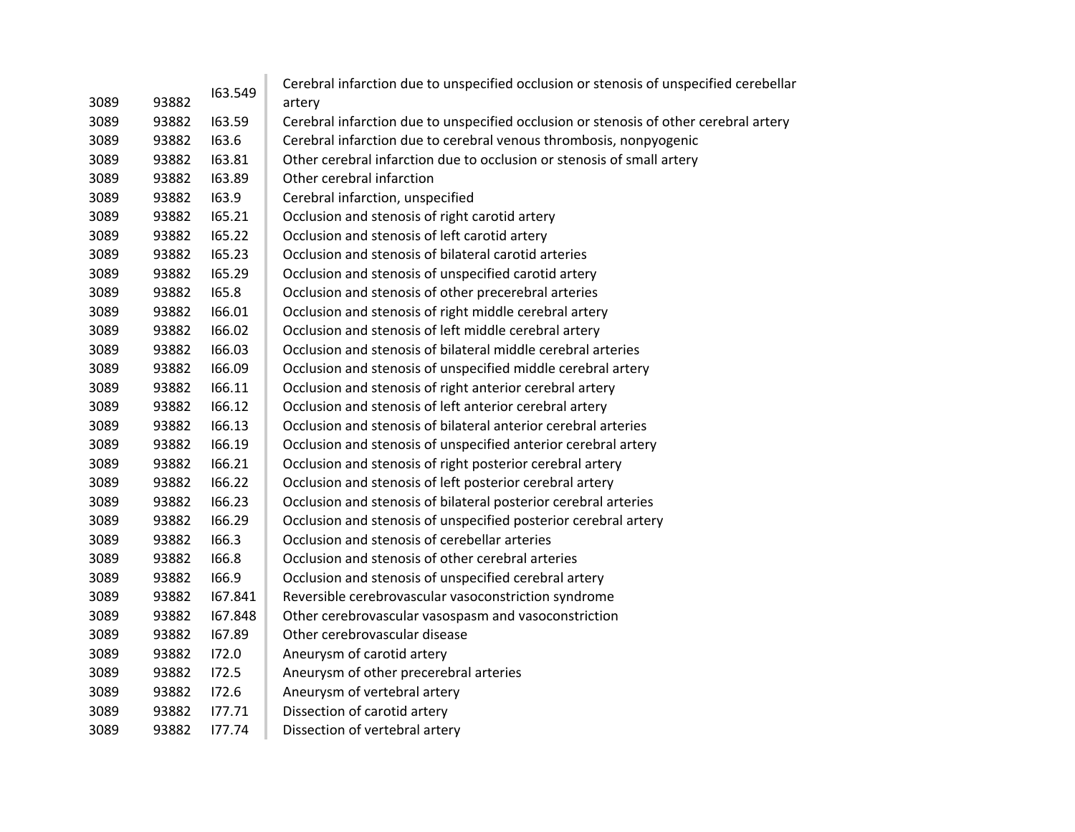|      |       | 163.549 | Cerebral infarction due to unspecified occlusion or stenosis of unspecified cerebellar |
|------|-------|---------|----------------------------------------------------------------------------------------|
| 3089 | 93882 |         | artery                                                                                 |
| 3089 | 93882 | 163.59  | Cerebral infarction due to unspecified occlusion or stenosis of other cerebral artery  |
| 3089 | 93882 | 163.6   | Cerebral infarction due to cerebral venous thrombosis, nonpyogenic                     |
| 3089 | 93882 | 163.81  | Other cerebral infarction due to occlusion or stenosis of small artery                 |
| 3089 | 93882 | 163.89  | Other cerebral infarction                                                              |
| 3089 | 93882 | 163.9   | Cerebral infarction, unspecified                                                       |
| 3089 | 93882 | 165.21  | Occlusion and stenosis of right carotid artery                                         |
| 3089 | 93882 | 165.22  | Occlusion and stenosis of left carotid artery                                          |
| 3089 | 93882 | 165.23  | Occlusion and stenosis of bilateral carotid arteries                                   |
| 3089 | 93882 | 165.29  | Occlusion and stenosis of unspecified carotid artery                                   |
| 3089 | 93882 | 165.8   | Occlusion and stenosis of other precerebral arteries                                   |
| 3089 | 93882 | 166.01  | Occlusion and stenosis of right middle cerebral artery                                 |
| 3089 | 93882 | 166.02  | Occlusion and stenosis of left middle cerebral artery                                  |
| 3089 | 93882 | 166.03  | Occlusion and stenosis of bilateral middle cerebral arteries                           |
| 3089 | 93882 | 166.09  | Occlusion and stenosis of unspecified middle cerebral artery                           |
| 3089 | 93882 | 166.11  | Occlusion and stenosis of right anterior cerebral artery                               |
| 3089 | 93882 | 166.12  | Occlusion and stenosis of left anterior cerebral artery                                |
| 3089 | 93882 | 166.13  | Occlusion and stenosis of bilateral anterior cerebral arteries                         |
| 3089 | 93882 | 166.19  | Occlusion and stenosis of unspecified anterior cerebral artery                         |
| 3089 | 93882 | 166.21  | Occlusion and stenosis of right posterior cerebral artery                              |
| 3089 | 93882 | 166.22  | Occlusion and stenosis of left posterior cerebral artery                               |
| 3089 | 93882 | 166.23  | Occlusion and stenosis of bilateral posterior cerebral arteries                        |
| 3089 | 93882 | 166.29  | Occlusion and stenosis of unspecified posterior cerebral artery                        |
| 3089 | 93882 | 166.3   | Occlusion and stenosis of cerebellar arteries                                          |
| 3089 | 93882 | 166.8   | Occlusion and stenosis of other cerebral arteries                                      |
| 3089 | 93882 | 166.9   | Occlusion and stenosis of unspecified cerebral artery                                  |
| 3089 | 93882 | 167.841 | Reversible cerebrovascular vasoconstriction syndrome                                   |
| 3089 | 93882 | 167.848 | Other cerebrovascular vasospasm and vasoconstriction                                   |
| 3089 | 93882 | 167.89  | Other cerebrovascular disease                                                          |
| 3089 | 93882 | 172.0   | Aneurysm of carotid artery                                                             |
| 3089 | 93882 | 172.5   | Aneurysm of other precerebral arteries                                                 |
| 3089 | 93882 | 172.6   | Aneurysm of vertebral artery                                                           |
| 3089 | 93882 | 177.71  | Dissection of carotid artery                                                           |
| 3089 | 93882 | 177.74  | Dissection of vertebral artery                                                         |
|      |       |         |                                                                                        |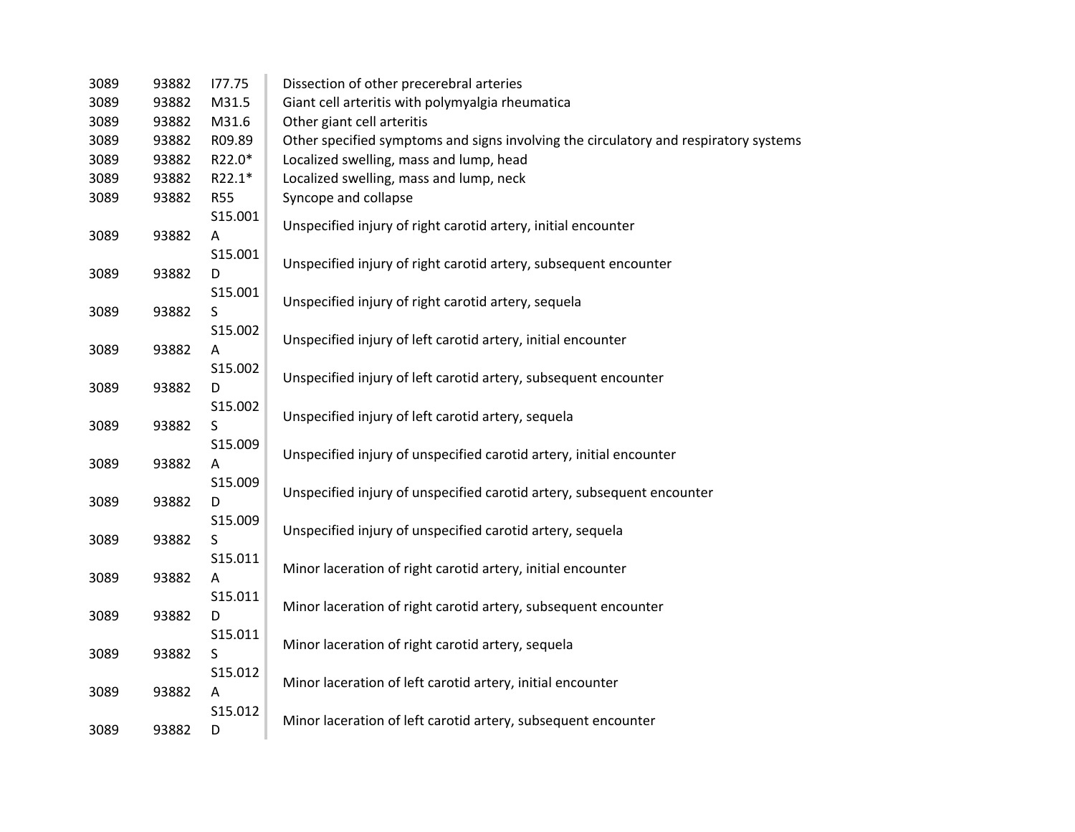| 3089 | 93882 | 177.75     | Dissection of other precerebral arteries                                             |
|------|-------|------------|--------------------------------------------------------------------------------------|
| 3089 | 93882 | M31.5      | Giant cell arteritis with polymyalgia rheumatica                                     |
| 3089 | 93882 | M31.6      | Other giant cell arteritis                                                           |
| 3089 | 93882 | R09.89     | Other specified symptoms and signs involving the circulatory and respiratory systems |
| 3089 | 93882 | R22.0*     | Localized swelling, mass and lump, head                                              |
| 3089 | 93882 | R22.1*     | Localized swelling, mass and lump, neck                                              |
| 3089 | 93882 | <b>R55</b> | Syncope and collapse                                                                 |
| 3089 |       | S15.001    |                                                                                      |
|      | 93882 | A          | Unspecified injury of right carotid artery, initial encounter                        |
| 3089 |       | S15.001    |                                                                                      |
|      | 93882 | D          | Unspecified injury of right carotid artery, subsequent encounter                     |
|      |       | S15.001    |                                                                                      |
| 3089 | 93882 | S          | Unspecified injury of right carotid artery, sequela                                  |
|      |       | S15.002    |                                                                                      |
| 3089 | 93882 | A          | Unspecified injury of left carotid artery, initial encounter                         |
|      |       | S15.002    |                                                                                      |
| 3089 | 93882 | D          | Unspecified injury of left carotid artery, subsequent encounter                      |
|      |       | S15.002    |                                                                                      |
| 3089 | 93882 | S          | Unspecified injury of left carotid artery, sequela                                   |
| 3089 |       | S15.009    |                                                                                      |
|      | 93882 | A          | Unspecified injury of unspecified carotid artery, initial encounter                  |
| 3089 |       | S15.009    |                                                                                      |
|      | 93882 | D          | Unspecified injury of unspecified carotid artery, subsequent encounter               |
|      |       | S15.009    |                                                                                      |
| 3089 | 93882 | S          | Unspecified injury of unspecified carotid artery, sequela                            |
|      |       | S15.011    |                                                                                      |
| 3089 | 93882 | A          | Minor laceration of right carotid artery, initial encounter                          |
| 3089 |       | S15.011    |                                                                                      |
|      | 93882 | D          | Minor laceration of right carotid artery, subsequent encounter                       |
|      |       | S15.011    |                                                                                      |
| 3089 | 93882 | S          | Minor laceration of right carotid artery, sequela                                    |
|      |       | S15.012    |                                                                                      |
| 3089 | 93882 | A          | Minor laceration of left carotid artery, initial encounter                           |
|      |       | S15.012    |                                                                                      |
| 3089 | 93882 | D          | Minor laceration of left carotid artery, subsequent encounter                        |
|      |       |            |                                                                                      |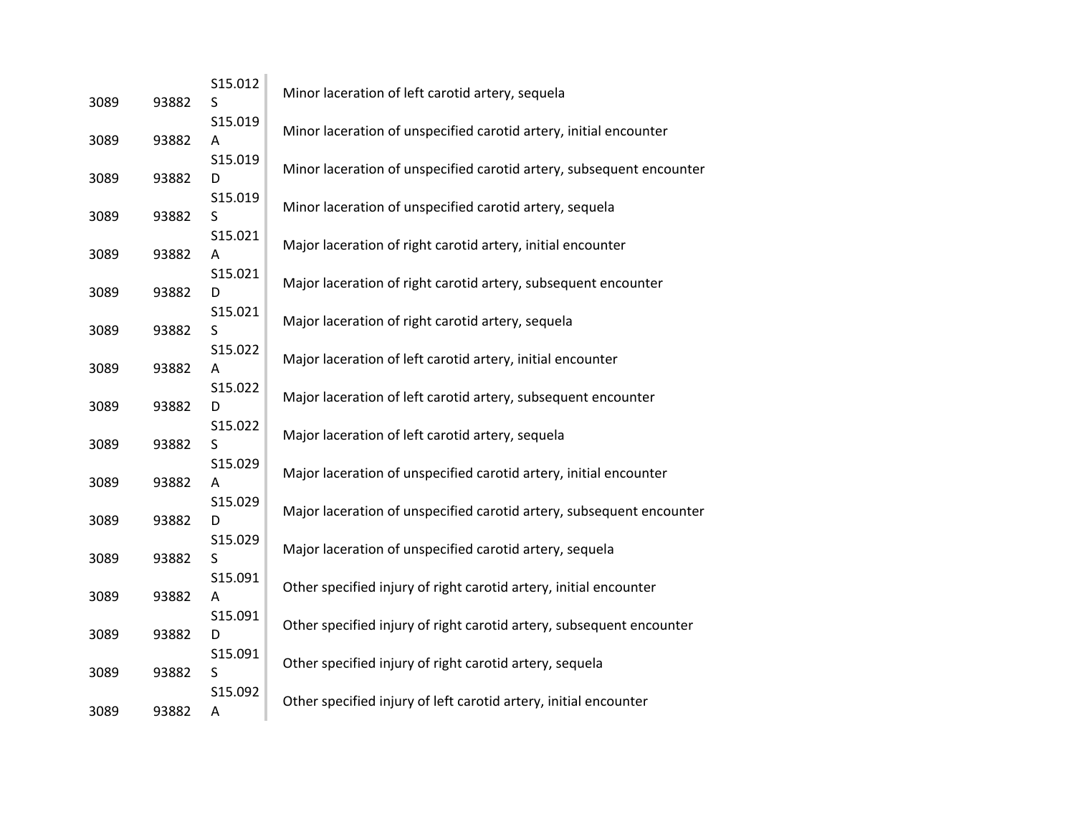| 3089 | 93882 | S15.012<br>S | Minor laceration of left carotid artery, sequela                     |
|------|-------|--------------|----------------------------------------------------------------------|
| 3089 | 93882 | S15.019<br>Α | Minor laceration of unspecified carotid artery, initial encounter    |
| 3089 | 93882 | S15.019<br>D | Minor laceration of unspecified carotid artery, subsequent encounter |
| 3089 | 93882 | S15.019<br>S | Minor laceration of unspecified carotid artery, sequela              |
| 3089 | 93882 | S15.021<br>Α | Major laceration of right carotid artery, initial encounter          |
| 3089 | 93882 | S15.021<br>D | Major laceration of right carotid artery, subsequent encounter       |
| 3089 | 93882 | S15.021<br>S | Major laceration of right carotid artery, sequela                    |
| 3089 | 93882 | S15.022<br>Α | Major laceration of left carotid artery, initial encounter           |
| 3089 | 93882 | S15.022<br>D | Major laceration of left carotid artery, subsequent encounter        |
| 3089 | 93882 | S15.022<br>S | Major laceration of left carotid artery, sequela                     |
| 3089 | 93882 | S15.029<br>Α | Major laceration of unspecified carotid artery, initial encounter    |
| 3089 | 93882 | S15.029<br>D | Major laceration of unspecified carotid artery, subsequent encounter |
| 3089 | 93882 | S15.029<br>S | Major laceration of unspecified carotid artery, sequela              |
| 3089 | 93882 | S15.091<br>Α | Other specified injury of right carotid artery, initial encounter    |
| 3089 | 93882 | S15.091<br>D | Other specified injury of right carotid artery, subsequent encounter |
| 3089 | 93882 | S15.091<br>S | Other specified injury of right carotid artery, sequela              |
| 3089 | 93882 | S15.092<br>Α | Other specified injury of left carotid artery, initial encounter     |